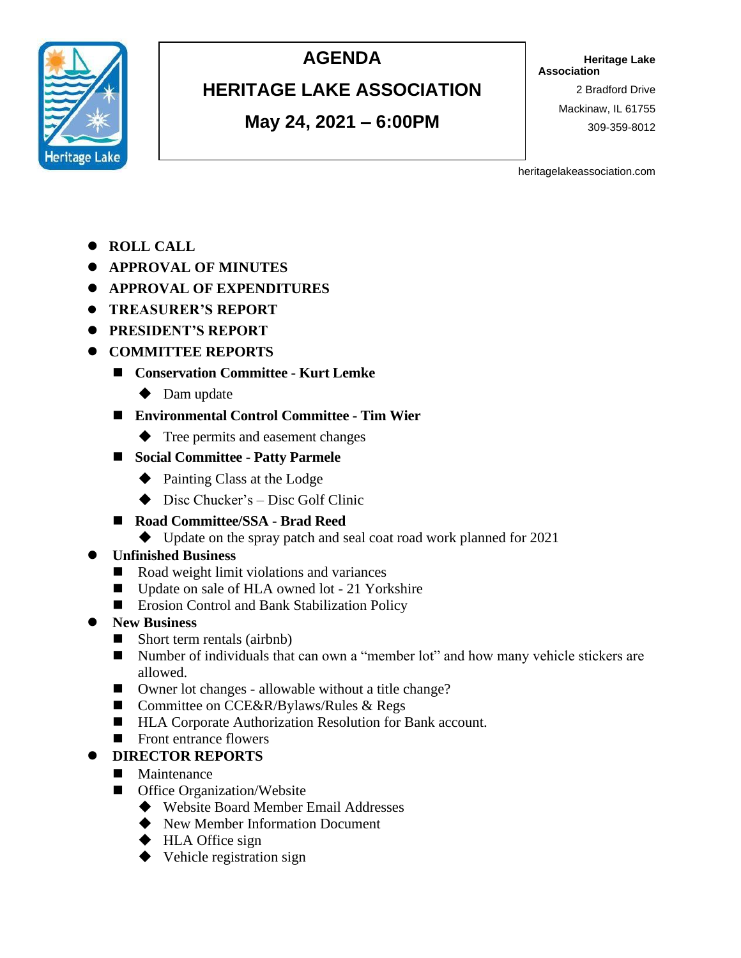

## **AGENDA**

## **HERITAGE LAKE ASSOCIATION**

**May 24, 2021 – 6:00PM**

**Heritage Lake Association**

> 2 Bradford Drive Mackinaw, IL 61755 309-359-8012

heritagelakeassociation.com

- ⚫ **ROLL CALL**
- ⚫ **APPROVAL OF MINUTES**
- ⚫ **APPROVAL OF EXPENDITURES**
- ⚫ **TREASURER'S REPORT**
- ⚫ **PRESIDENT'S REPORT**
- ⚫ **COMMITTEE REPORTS**
	- ◼ **Conservation Committee - Kurt Lemke**
		- ◆ Dam update
	- ◼ **Environmental Control Committee - Tim Wier**
		- ◆ Tree permits and easement changes
	- ◼ **Social Committee - Patty Parmele**
		- ◆ Painting Class at the Lodge
		- $\blacklozenge$  Disc Chucker's Disc Golf Clinic
	- ◼ **Road Committee/SSA - Brad Reed**
		- ◆ Update on the spray patch and seal coat road work planned for 2021

#### ⚫ **Unfinished Business**

- Road weight limit violations and variances
- Update on sale of HLA owned lot 21 Yorkshire
- Erosion Control and Bank Stabilization Policy

#### ⚫ **New Business**

- Short term rentals (airbnb)
- Number of individuals that can own a "member lot" and how many vehicle stickers are allowed.
- Owner lot changes allowable without a title change?
- Committee on CCE&R/Bylaws/Rules & Regs
- HLA Corporate Authorization Resolution for Bank account.
- Front entrance flowers
- ⚫ **DIRECTOR REPORTS**
- Maintenance
- Office Organization/Website
	- ◆ Website Board Member Email Addresses
	- ◆ New Member Information Document
	- ◆ HLA Office sign
	- ◆ Vehicle registration sign